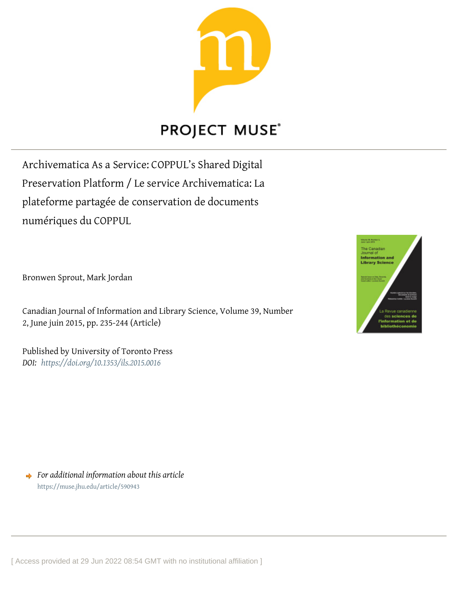

# **PROJECT MUSE®**

Archivematica As a Service: COPPUL's Shared Digital Preservation Platform / Le service Archivematica: La plateforme partagée de conservation de documents numériques du COPPUL

Bronwen Sprout, Mark Jordan

Canadian Journal of Information and Library Science, Volume 39, Number 2, June juin 2015, pp. 235-244 (Article)

Published by University of Toronto Press *DOI: <https://doi.org/10.1353/ils.2015.0016>*



*For additional information about this article* <https://muse.jhu.edu/article/590943>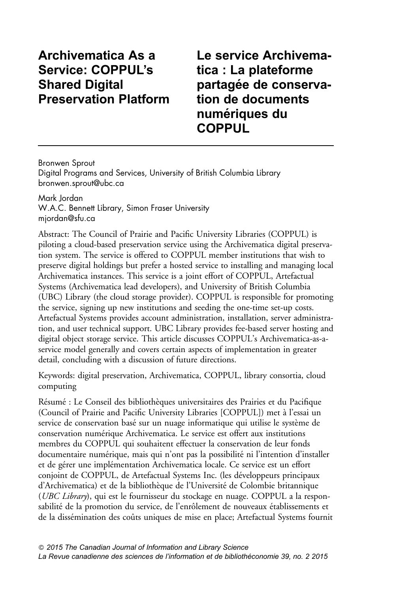# Archivematica As a Service: COPPUL's Shared Digital Preservation Platform

# Le service Archivematica : La plateforme partagée de conservation de documents numériques du COPPUL

Bronwen Sprout Digital Programs and Services, University of British Columbia Library <bronwen.sprout@ubc.ca>

Mark Jordan W.A.C. Bennett Library, Simon Fraser University <mjordan@sfu.ca>

Abstract: The Council of Prairie and Pacific University Libraries (COPPUL) is piloting a cloud-based preservation service using the Archivematica digital preservation system. The service is offered to COPPUL member institutions that wish to preserve digital holdings but prefer a hosted service to installing and managing local Archivematica instances. This service is a joint effort of COPPUL, Artefactual Systems (Archivematica lead developers), and University of British Columbia (UBC) Library (the cloud storage provider). COPPUL is responsible for promoting the service, signing up new institutions and seeding the one-time set-up costs. Artefactual Systems provides account administration, installation, server administration, and user technical support. UBC Library provides fee-based server hosting and digital object storage service. This article discusses COPPUL's Archivematica-as-aservice model generally and covers certain aspects of implementation in greater detail, concluding with a discussion of future directions.

Keywords: digital preservation, Archivematica, COPPUL, library consortia, cloud computing

Résumé : Le Conseil des bibliothèques universitaires des Prairies et du Pacifique (Council of Prairie and Pacific University Libraries [COPPUL]) met à l'essai un service de conservation basé sur un nuage informatique qui utilise le système de conservation numérique Archivematica. Le service est offert aux institutions membres du COPPUL qui souhaitent effectuer la conservation de leur fonds documentaire numérique, mais qui n'ont pas la possibilité ni l'intention d'installer et de gérer une implémentation Archivematica locale. Ce service est un effort conjoint de COPPUL, de Artefactual Systems Inc. (les de´veloppeurs principaux d'Archivematica) et de la bibliothe`que de l'Universite´ de Colombie britannique (UBC Library), qui est le fournisseur du stockage en nuage. COPPUL a la responsabilité de la promotion du service, de l'enrôlement de nouveaux établissements et de la dissémination des coûts uniques de mise en place; Artefactual Systems fournit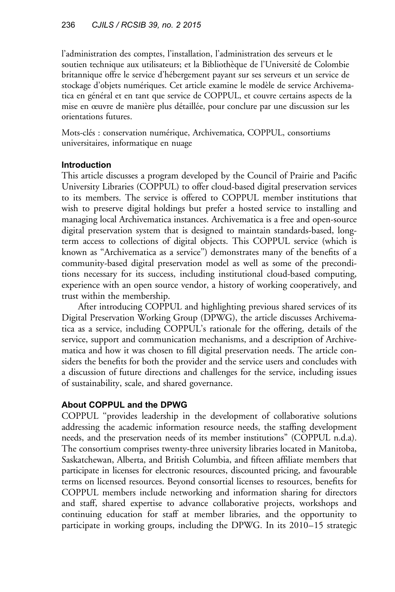l'administration des comptes, l'installation, l'administration des serveurs et le soutien technique aux utilisateurs; et la Bibliothèque de l'Université de Colombie britannique offre le service d'he´bergement payant sur ses serveurs et un service de stockage d'objets numériques. Cet article examine le modèle de service Archivematica en général et en tant que service de COPPUL, et couvre certains aspects de la mise en œuvre de manière plus détaillée, pour conclure par une discussion sur les orientations futures.

Mots-clés : conservation numérique, Archivematica, COPPUL, consortiums universitaires, informatique en nuage

#### Introduction

This article discusses a program developed by the Council of Prairie and Pacific University Libraries (COPPUL) to offer cloud-based digital preservation services to its members. The service is offered to COPPUL member institutions that wish to preserve digital holdings but prefer a hosted service to installing and managing local Archivematica instances. Archivematica is a free and open-source digital preservation system that is designed to maintain standards-based, longterm access to collections of digital objects. This COPPUL service (which is known as ''Archivematica as a service'') demonstrates many of the benefits of a community-based digital preservation model as well as some of the preconditions necessary for its success, including institutional cloud-based computing, experience with an open source vendor, a history of working cooperatively, and trust within the membership.

After introducing COPPUL and highlighting previous shared services of its Digital Preservation Working Group (DPWG), the article discusses Archivematica as a service, including COPPUL's rationale for the offering, details of the service, support and communication mechanisms, and a description of Archivematica and how it was chosen to fill digital preservation needs. The article considers the benefits for both the provider and the service users and concludes with a discussion of future directions and challenges for the service, including issues of sustainability, scale, and shared governance.

#### About COPPUL and the DPWG

COPPUL ''provides leadership in the development of collaborative solutions addressing the academic information resource needs, the staffing development needs, and the preservation needs of its member institutions'' ([COPPUL n.d.a](#page-10-0)). The consortium comprises twenty-three university libraries located in Manitoba, Saskatchewan, Alberta, and British Columbia, and fifteen affiliate members that participate in licenses for electronic resources, discounted pricing, and favourable terms on licensed resources. Beyond consortial licenses to resources, benefits for COPPUL members include networking and information sharing for directors and staff, shared expertise to advance collaborative projects, workshops and continuing education for staff at member libraries, and the opportunity to participate in working groups, including the DPWG. In its 2010–15 strategic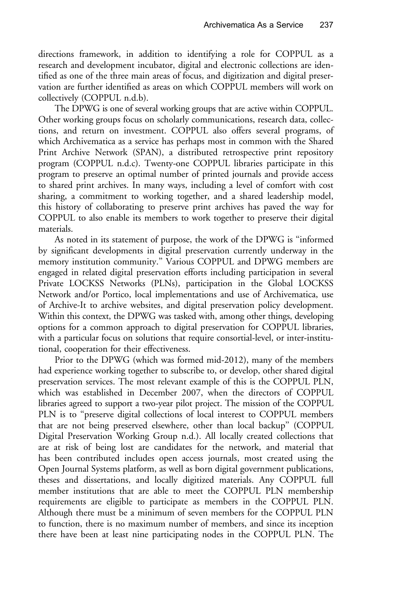directions framework, in addition to identifying a role for COPPUL as a research and development incubator, digital and electronic collections are identified as one of the three main areas of focus, and digitization and digital preservation are further identified as areas on which COPPUL members will work on collectively [\(COPPUL n.d.b\)](#page-10-0).

The DPWG is one of several working groups that are active within COPPUL. Other working groups focus on scholarly communications, research data, collections, and return on investment. COPPUL also offers several programs, of which Archivematica as a service has perhaps most in common with the Shared Print Archive Network (SPAN), a distributed retrospective print repository program [\(COPPUL n.d.c\)](#page-10-0). Twenty-one COPPUL libraries participate in this program to preserve an optimal number of printed journals and provide access to shared print archives. In many ways, including a level of comfort with cost sharing, a commitment to working together, and a shared leadership model, this history of collaborating to preserve print archives has paved the way for COPPUL to also enable its members to work together to preserve their digital materials.

As noted in its statement of purpose, the work of the DPWG is ''informed by significant developments in digital preservation currently underway in the memory institution community.'' Various COPPUL and DPWG members are engaged in related digital preservation efforts including participation in several Private LOCKSS Networks (PLNs), participation in the Global LOCKSS Network and/or Portico, local implementations and use of Archivematica, use of Archive-It to archive websites, and digital preservation policy development. Within this context, the DPWG was tasked with, among other things, developing options for a common approach to digital preservation for COPPUL libraries, with a particular focus on solutions that require consortial-level, or inter-institutional, cooperation for their effectiveness.

Prior to the DPWG (which was formed mid-2012), many of the members had experience working together to subscribe to, or develop, other shared digital preservation services. The most relevant example of this is the COPPUL PLN, which was established in December 2007, when the directors of COPPUL libraries agreed to support a two-year pilot project. The mission of the COPPUL PLN is to "preserve digital collections of local interest to COPPUL members that are not being preserved elsewhere, other than local backup'' [\(COPPUL](#page-10-0) [Digital Preservation Working Group n.d.](#page-10-0)). All locally created collections that are at risk of being lost are candidates for the network, and material that has been contributed includes open access journals, most created using the Open Journal Systems platform, as well as born digital government publications, theses and dissertations, and locally digitized materials. Any COPPUL full member institutions that are able to meet the COPPUL PLN membership requirements are eligible to participate as members in the COPPUL PLN. Although there must be a minimum of seven members for the COPPUL PLN to function, there is no maximum number of members, and since its inception there have been at least nine participating nodes in the COPPUL PLN. The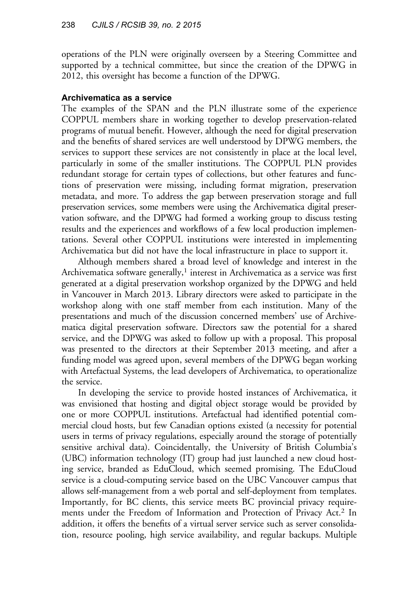operations of the PLN were originally overseen by a Steering Committee and supported by a technical committee, but since the creation of the DPWG in 2012, this oversight has become a function of the DPWG.

# Archivematica as a service

The examples of the SPAN and the PLN illustrate some of the experience COPPUL members share in working together to develop preservation-related programs of mutual benefit. However, although the need for digital preservation and the benefits of shared services are well understood by DPWG members, the services to support these services are not consistently in place at the local level, particularly in some of the smaller institutions. The COPPUL PLN provides redundant storage for certain types of collections, but other features and functions of preservation were missing, including format migration, preservation metadata, and more. To address the gap between preservation storage and full preservation services, some members were using the Archivematica digital preservation software, and the DPWG had formed a working group to discuss testing results and the experiences and workflows of a few local production implementations. Several other COPPUL institutions were interested in implementing Archivematica but did not have the local infrastructure in place to support it.

Although members shared a broad level of knowledge and interest in the Archivematica software generally, $1$  interest in Archivematica as a service was first generated at a digital preservation workshop organized by the DPWG and held in Vancouver in March 2013. Library directors were asked to participate in the workshop along with one staff member from each institution. Many of the presentations and much of the discussion concerned members' use of Archivematica digital preservation software. Directors saw the potential for a shared service, and the DPWG was asked to follow up with a proposal. This proposal was presented to the directors at their September 2013 meeting, and after a funding model was agreed upon, several members of the DPWG began working with Artefactual Systems, the lead developers of Archivematica, to operationalize the service.

In developing the service to provide hosted instances of Archivematica, it was envisioned that hosting and digital object storage would be provided by one or more COPPUL institutions. Artefactual had identified potential commercial cloud hosts, but few Canadian options existed (a necessity for potential users in terms of privacy regulations, especially around the storage of potentially sensitive archival data). Coincidentally, the University of British Columbia's (UBC) information technology (IT) group had just launched a new cloud hosting service, branded as EduCloud, which seemed promising. The EduCloud service is a cloud-computing service based on the UBC Vancouver campus that allows self-management from a web portal and self-deployment from templates. Importantly, for BC clients, this service meets BC provincial privacy requirements under the Freedom of Information and Protection of Privacy Act.<sup>2</sup> In addition, it offers the benefits of a virtual server service such as server consolidation, resource pooling, high service availability, and regular backups. Multiple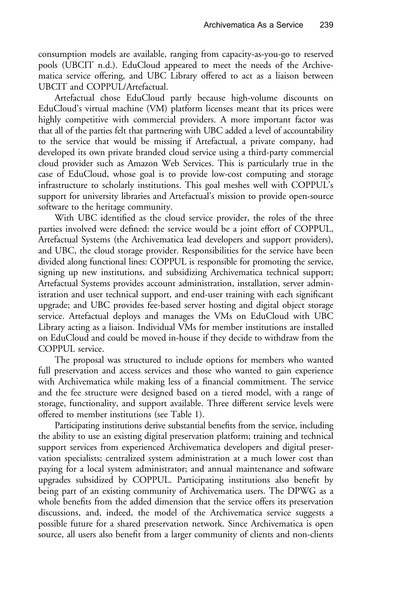consumption models are available, ranging from capacity-as-you-go to reserved pools ([UBCIT n.d.\)](#page-10-0). EduCloud appeared to meet the needs of the Archivematica service offering, and UBC Library offered to act as a liaison between UBCIT and COPPUL/Artefactual.

Artefactual chose EduCloud partly because high-volume discounts on EduCloud's virtual machine (VM) platform licenses meant that its prices were highly competitive with commercial providers. A more important factor was that all of the parties felt that partnering with UBC added a level of accountability to the service that would be missing if Artefactual, a private company, had developed its own private branded cloud service using a third-party commercial cloud provider such as Amazon Web Services. This is particularly true in the case of EduCloud, whose goal is to provide low-cost computing and storage infrastructure to scholarly institutions. This goal meshes well with COPPUL's support for university libraries and Artefactual's mission to provide open-source software to the heritage community.

With UBC identified as the cloud service provider, the roles of the three parties involved were defined: the service would be a joint effort of COPPUL, Artefactual Systems (the Archivematica lead developers and support providers), and UBC, the cloud storage provider. Responsibilities for the service have been divided along functional lines: COPPUL is responsible for promoting the service, signing up new institutions, and subsidizing Archivematica technical support; Artefactual Systems provides account administration, installation, server administration and user technical support, and end-user training with each significant upgrade; and UBC provides fee-based server hosting and digital object storage service. Artefactual deploys and manages the VMs on EduCloud with UBC Library acting as a liaison. Individual VMs for member institutions are installed on EduCloud and could be moved in-house if they decide to withdraw from the COPPUL service.

The proposal was structured to include options for members who wanted full preservation and access services and those who wanted to gain experience with Archivematica while making less of a financial commitment. The service and the fee structure were designed based on a tiered model, with a range of storage, functionality, and support available. Three different service levels were offered to member institutions (see Table 1).

Participating institutions derive substantial benefits from the service, including the ability to use an existing digital preservation platform; training and technical support services from experienced Archivematica developers and digital preservation specialists; centralized system administration at a much lower cost than paying for a local system administrator; and annual maintenance and software upgrades subsidized by COPPUL. Participating institutions also benefit by being part of an existing community of Archivematica users. The DPWG as a whole benefits from the added dimension that the service offers its preservation discussions, and, indeed, the model of the Archivematica service suggests a possible future for a shared preservation network. Since Archivematica is open source, all users also benefit from a larger community of clients and non-clients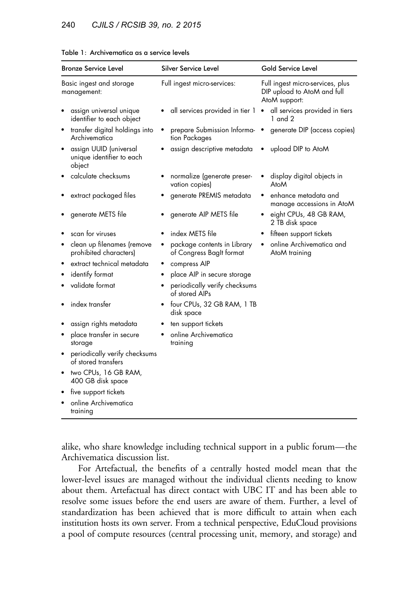| <b>Bronze Service Level</b>             |                                                               | Silver Service Level                                    |  | <b>Gold Service Level</b>                                                        |  |
|-----------------------------------------|---------------------------------------------------------------|---------------------------------------------------------|--|----------------------------------------------------------------------------------|--|
| Basic ingest and storage<br>management: |                                                               | Full ingest micro-services:                             |  | Full ingest micro-services, plus<br>DIP upload to AtoM and full<br>AtoM support: |  |
|                                         | assign universal unique<br>identifier to each object          | all services provided in tier 1                         |  | all services provided in tiers<br>1 and 2                                        |  |
| ٠                                       | transfer digital holdings into<br>Archivematica               | prepare Submission Informa-<br>tion Packages            |  | generate DIP (access copies)                                                     |  |
|                                         | assign UUID (universal<br>unique identifier to each<br>object | assign descriptive metadata                             |  | upload DIP to AtoM                                                               |  |
|                                         | calculate checksums                                           | normalize (generate preser-<br>vation copies)           |  | display digital objects in<br><b>AtoM</b>                                        |  |
|                                         | extract packaged files                                        | generate PREMIS metadata                                |  | enhance metadata and<br>manage accessions in AtoM                                |  |
|                                         | generate METS file                                            | generate AIP METS file                                  |  | eight CPUs, 48 GB RAM,<br>2 TB disk space                                        |  |
|                                         | scan for viruses                                              | index METS file                                         |  | fifteen support tickets                                                          |  |
|                                         | clean up filenames (remove<br>prohibited characters)          | package contents in Library<br>of Congress BagIt format |  | online Archivematica and<br>AtoM training                                        |  |
|                                         | extract technical metadata                                    | compress AIP                                            |  |                                                                                  |  |
|                                         | identify format                                               | place AIP in secure storage                             |  |                                                                                  |  |
|                                         | validate format                                               | periodically verify checksums<br>of stored AIPs         |  |                                                                                  |  |
|                                         | index transfer                                                | four CPUs, 32 GB RAM, 1 TB<br>disk space                |  |                                                                                  |  |
|                                         | assign rights metadata                                        | ten support tickets                                     |  |                                                                                  |  |
|                                         | place transfer in secure<br>storage                           | online Archivematica<br>training                        |  |                                                                                  |  |
|                                         | periodically verify checksums<br>of stored transfers          |                                                         |  |                                                                                  |  |
|                                         | two CPUs, 16 GB RAM,<br>400 GB disk space                     |                                                         |  |                                                                                  |  |
|                                         | five support tickets                                          |                                                         |  |                                                                                  |  |
|                                         | online Archivematica<br>training                              |                                                         |  |                                                                                  |  |

#### Table 1: Archivematica as a service levels

alike, who share knowledge including technical support in a public forum—the Archivematica discussion list.

For Artefactual, the benefits of a centrally hosted model mean that the lower-level issues are managed without the individual clients needing to know about them. Artefactual has direct contact with UBC IT and has been able to resolve some issues before the end users are aware of them. Further, a level of standardization has been achieved that is more difficult to attain when each institution hosts its own server. From a technical perspective, EduCloud provisions a pool of compute resources (central processing unit, memory, and storage) and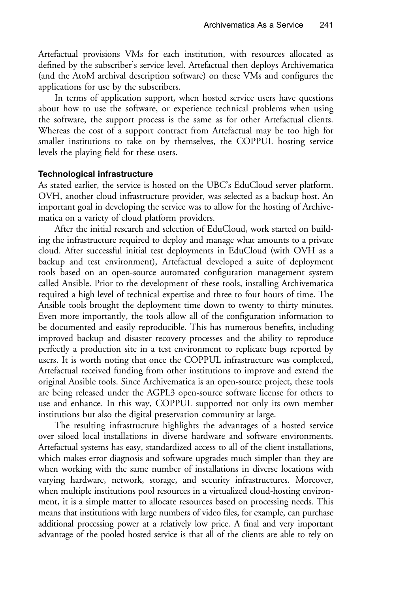Artefactual provisions VMs for each institution, with resources allocated as defined by the subscriber's service level. Artefactual then deploys Archivematica (and the AtoM archival description software) on these VMs and configures the applications for use by the subscribers.

In terms of application support, when hosted service users have questions about how to use the software, or experience technical problems when using the software, the support process is the same as for other Artefactual clients. Whereas the cost of a support contract from Artefactual may be too high for smaller institutions to take on by themselves, the COPPUL hosting service levels the playing field for these users.

#### Technological infrastructure

As stated earlier, the service is hosted on the UBC's EduCloud server platform. OVH, another cloud infrastructure provider, was selected as a backup host. An important goal in developing the service was to allow for the hosting of Archivematica on a variety of cloud platform providers.

After the initial research and selection of EduCloud, work started on building the infrastructure required to deploy and manage what amounts to a private cloud. After successful initial test deployments in EduCloud (with OVH as a backup and test environment), Artefactual developed a suite of deployment tools based on an open-source automated configuration management system called Ansible. Prior to the development of these tools, installing Archivematica required a high level of technical expertise and three to four hours of time. The Ansible tools brought the deployment time down to twenty to thirty minutes. Even more importantly, the tools allow all of the configuration information to be documented and easily reproducible. This has numerous benefits, including improved backup and disaster recovery processes and the ability to reproduce perfectly a production site in a test environment to replicate bugs reported by users. It is worth noting that once the COPPUL infrastructure was completed, Artefactual received funding from other institutions to improve and extend the original Ansible tools. Since Archivematica is an open-source project, these tools are being released under the AGPL3 open-source software license for others to use and enhance. In this way, COPPUL supported not only its own member institutions but also the digital preservation community at large.

The resulting infrastructure highlights the advantages of a hosted service over siloed local installations in diverse hardware and software environments. Artefactual systems has easy, standardized access to all of the client installations, which makes error diagnosis and software upgrades much simpler than they are when working with the same number of installations in diverse locations with varying hardware, network, storage, and security infrastructures. Moreover, when multiple institutions pool resources in a virtualized cloud-hosting environment, it is a simple matter to allocate resources based on processing needs. This means that institutions with large numbers of video files, for example, can purchase additional processing power at a relatively low price. A final and very important advantage of the pooled hosted service is that all of the clients are able to rely on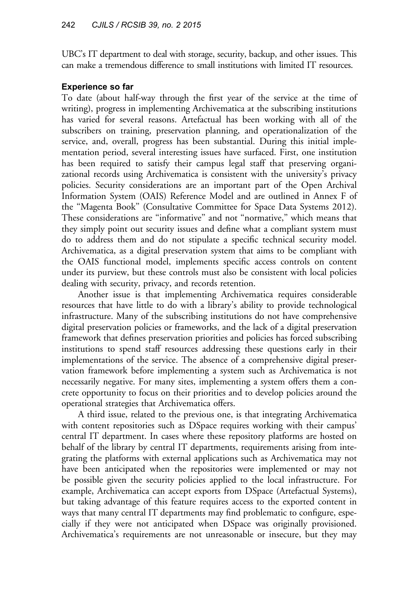UBC's IT department to deal with storage, security, backup, and other issues. This can make a tremendous difference to small institutions with limited IT resources.

### Experience so far

To date (about half-way through the first year of the service at the time of writing), progress in implementing Archivematica at the subscribing institutions has varied for several reasons. Artefactual has been working with all of the subscribers on training, preservation planning, and operationalization of the service, and, overall, progress has been substantial. During this initial implementation period, several interesting issues have surfaced. First, one institution has been required to satisfy their campus legal staff that preserving organizational records using Archivematica is consistent with the university's privacy policies. Security considerations are an important part of the Open Archival Information System (OAIS) Reference Model and are outlined in Annex F of the ''Magenta Book'' ([Consultative Committee for Space Data Systems 2012](#page-10-0)). These considerations are ''informative'' and not ''normative,'' which means that they simply point out security issues and define what a compliant system must do to address them and do not stipulate a specific technical security model. Archivematica, as a digital preservation system that aims to be compliant with the OAIS functional model, implements specific access controls on content under its purview, but these controls must also be consistent with local policies dealing with security, privacy, and records retention.

Another issue is that implementing Archivematica requires considerable resources that have little to do with a library's ability to provide technological infrastructure. Many of the subscribing institutions do not have comprehensive digital preservation policies or frameworks, and the lack of a digital preservation framework that defines preservation priorities and policies has forced subscribing institutions to spend staff resources addressing these questions early in their implementations of the service. The absence of a comprehensive digital preservation framework before implementing a system such as Archivematica is not necessarily negative. For many sites, implementing a system offers them a concrete opportunity to focus on their priorities and to develop policies around the operational strategies that Archivematica offers.

A third issue, related to the previous one, is that integrating Archivematica with content repositories such as DSpace requires working with their campus' central IT department. In cases where these repository platforms are hosted on behalf of the library by central IT departments, requirements arising from integrating the platforms with external applications such as Archivematica may not have been anticipated when the repositories were implemented or may not be possible given the security policies applied to the local infrastructure. For example, Archivematica can accept exports from DSpace (Artefactual Systems), but taking advantage of this feature requires access to the exported content in ways that many central IT departments may find problematic to configure, especially if they were not anticipated when DSpace was originally provisioned. Archivematica's requirements are not unreasonable or insecure, but they may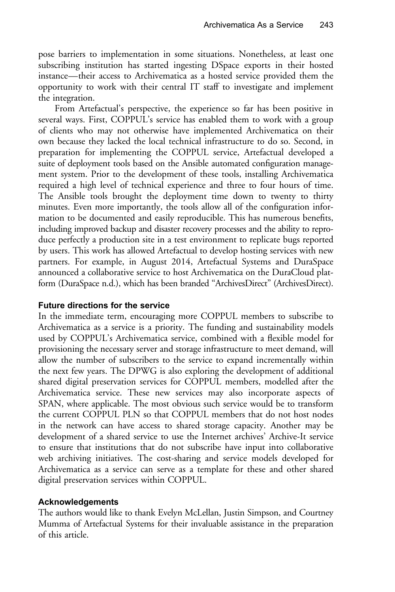pose barriers to implementation in some situations. Nonetheless, at least one subscribing institution has started ingesting DSpace exports in their hosted instance—their access to Archivematica as a hosted service provided them the opportunity to work with their central IT staff to investigate and implement the integration.

From Artefactual's perspective, the experience so far has been positive in several ways. First, COPPUL's service has enabled them to work with a group of clients who may not otherwise have implemented Archivematica on their own because they lacked the local technical infrastructure to do so. Second, in preparation for implementing the COPPUL service, Artefactual developed a suite of deployment tools based on the Ansible automated configuration management system. Prior to the development of these tools, installing Archivematica required a high level of technical experience and three to four hours of time. The Ansible tools brought the deployment time down to twenty to thirty minutes. Even more importantly, the tools allow all of the configuration information to be documented and easily reproducible. This has numerous benefits, including improved backup and disaster recovery processes and the ability to reproduce perfectly a production site in a test environment to replicate bugs reported by users. This work has allowed Artefactual to develop hosting services with new partners. For example, in August 2014, Artefactual Systems and DuraSpace announced a collaborative service to host Archivematica on the DuraCloud platform ([DuraSpace n.d.](#page-10-0)), which has been branded ''ArchivesDirect'' (ArchivesDirect).

#### Future directions for the service

In the immediate term, encouraging more COPPUL members to subscribe to Archivematica as a service is a priority. The funding and sustainability models used by COPPUL's Archivematica service, combined with a flexible model for provisioning the necessary server and storage infrastructure to meet demand, will allow the number of subscribers to the service to expand incrementally within the next few years. The DPWG is also exploring the development of additional shared digital preservation services for COPPUL members, modelled after the Archivematica service. These new services may also incorporate aspects of SPAN, where applicable. The most obvious such service would be to transform the current COPPUL PLN so that COPPUL members that do not host nodes in the network can have access to shared storage capacity. Another may be development of a shared service to use the Internet archives' Archive-It service to ensure that institutions that do not subscribe have input into collaborative web archiving initiatives. The cost-sharing and service models developed for Archivematica as a service can serve as a template for these and other shared digital preservation services within COPPUL.

# Acknowledgements

The authors would like to thank Evelyn McLellan, Justin Simpson, and Courtney Mumma of Artefactual Systems for their invaluable assistance in the preparation of this article.